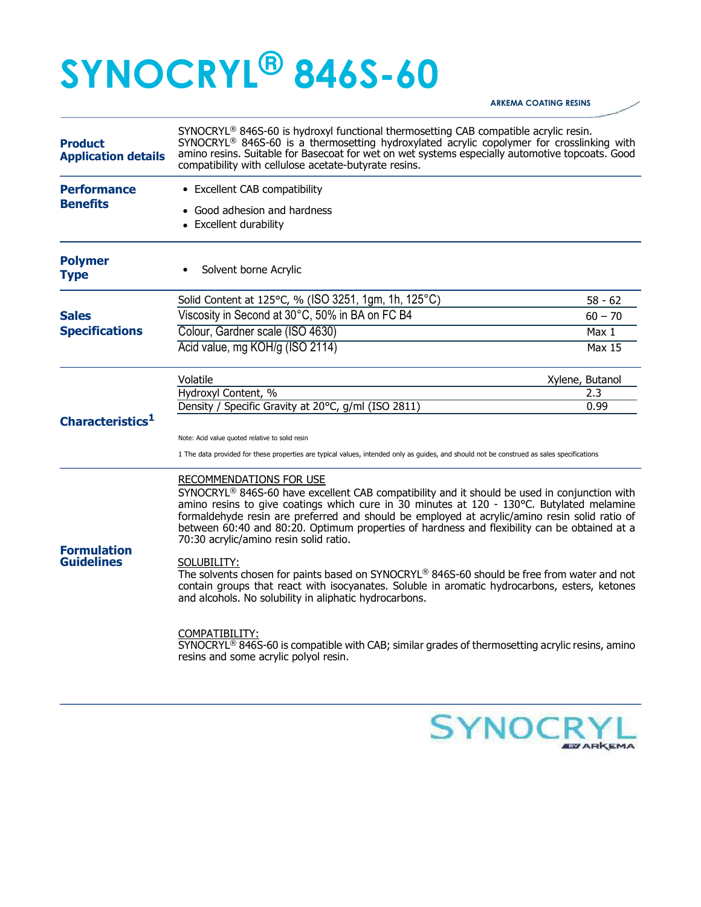## SYNOCRYL® 846S-60

## ARKEMA COATING RESINS

| <b>Product</b><br><b>Application details</b> | SYNOCRYL <sup>®</sup> 846S-60 is hydroxyl functional thermosetting CAB compatible acrylic resin.<br>SYNOCRYL <sup>®</sup> 846S-60 is a thermosetting hydroxylated acrylic copolymer for crosslinking with<br>amino resins. Suitable for Basecoat for wet on wet systems especially automotive topcoats. Good<br>compatibility with cellulose acetate-butyrate resins.                                                                |                  |  |
|----------------------------------------------|--------------------------------------------------------------------------------------------------------------------------------------------------------------------------------------------------------------------------------------------------------------------------------------------------------------------------------------------------------------------------------------------------------------------------------------|------------------|--|
| <b>Performance</b><br><b>Benefits</b>        | • Excellent CAB compatibility                                                                                                                                                                                                                                                                                                                                                                                                        |                  |  |
|                                              | • Good adhesion and hardness<br>• Excellent durability                                                                                                                                                                                                                                                                                                                                                                               |                  |  |
| <b>Polymer</b><br><b>Type</b>                | Solvent borne Acrylic                                                                                                                                                                                                                                                                                                                                                                                                                |                  |  |
|                                              | Solid Content at 125°C, % (ISO 3251, 1gm, 1h, 125°C)                                                                                                                                                                                                                                                                                                                                                                                 | 58 - 62          |  |
| <b>Sales</b><br><b>Specifications</b>        | Viscosity in Second at 30°C, 50% in BA on FC B4                                                                                                                                                                                                                                                                                                                                                                                      | $60 - 70$        |  |
|                                              | Colour, Gardner scale (ISO 4630)                                                                                                                                                                                                                                                                                                                                                                                                     | Max <sub>1</sub> |  |
|                                              | Acid value, mg KOH/g (ISO 2114)                                                                                                                                                                                                                                                                                                                                                                                                      | <b>Max 15</b>    |  |
|                                              | Volatile<br>Xylene, Butanol                                                                                                                                                                                                                                                                                                                                                                                                          |                  |  |
|                                              | Hydroxyl Content, %                                                                                                                                                                                                                                                                                                                                                                                                                  | 2.3              |  |
| Characteristics <sup>1</sup>                 | Density / Specific Gravity at 20°C, g/ml (ISO 2811)                                                                                                                                                                                                                                                                                                                                                                                  | 0.99             |  |
|                                              | Note: Acid value quoted relative to solid resin<br>1 The data provided for these properties are typical values, intended only as guides, and should not be construed as sales specifications                                                                                                                                                                                                                                         |                  |  |
|                                              | <b>RECOMMENDATIONS FOR USE</b>                                                                                                                                                                                                                                                                                                                                                                                                       |                  |  |
| <b>Formulation</b><br><b>Guidelines</b>      | SYNOCRYL® 846S-60 have excellent CAB compatibility and it should be used in conjunction with<br>amino resins to give coatings which cure in 30 minutes at 120 - 130°C. Butylated melamine<br>formaldehyde resin are preferred and should be employed at acrylic/amino resin solid ratio of<br>between 60:40 and 80:20. Optimum properties of hardness and flexibility can be obtained at a<br>70:30 acrylic/amino resin solid ratio. |                  |  |
|                                              | SOLUBILITY:<br>The solvents chosen for paints based on SYNOCRYL® 846S-60 should be free from water and not<br>contain groups that react with isocyanates. Soluble in aromatic hydrocarbons, esters, ketones<br>and alcohols. No solubility in aliphatic hydrocarbons.                                                                                                                                                                |                  |  |
|                                              | COMPATIBILITY:<br>SYNOCRYL <sup>®</sup> 846S-60 is compatible with CAB; similar grades of thermosetting acrylic resins, amino<br>resins and some acrylic polyol resin.                                                                                                                                                                                                                                                               |                  |  |